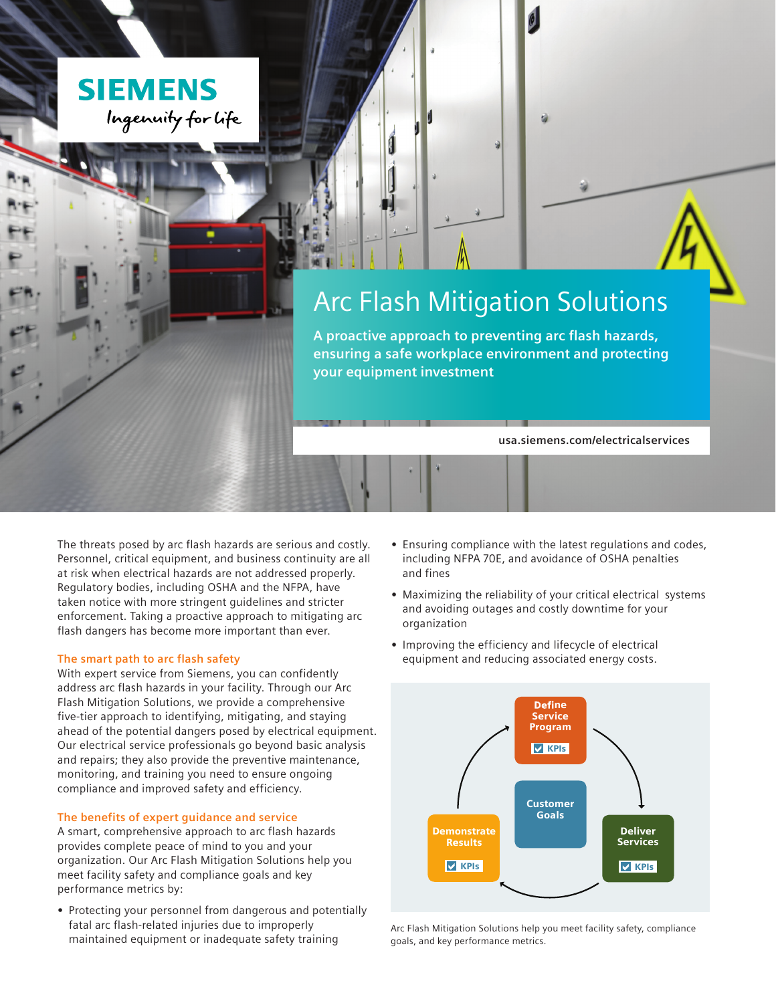

孏

**A proactive approach to preventing arc flash hazards, ensuring a safe workplace environment and protecting your equipment investment**

**usa.siemens.com/electricalservices**

The threats posed by arc flash hazards are serious and costly. Personnel, critical equipment, and business continuity are all at risk when electrical hazards are not addressed properly. Regulatory bodies, including OSHA and the NFPA, have taken notice with more stringent guidelines and stricter enforcement. Taking a proactive approach to mitigating arc flash dangers has become more important than ever.

# **The smart path to arc flash safety**

**SIEMENS** 

Ingenuity for life

With expert service from Siemens, you can confidently address arc flash hazards in your facility. Through our Arc Flash Mitigation Solutions, we provide a comprehensive five-tier approach to identifying, mitigating, and staying ahead of the potential dangers posed by electrical equipment. Our electrical service professionals go beyond basic analysis and repairs; they also provide the preventive maintenance, monitoring, and training you need to ensure ongoing compliance and improved safety and efficiency.

# **The benefits of expert guidance and service**

A smart, comprehensive approach to arc flash hazards provides complete peace of mind to you and your organization. Our Arc Flash Mitigation Solutions help you meet facility safety and compliance goals and key performance metrics by:

**•** Protecting your personnel from dangerous and potentially fatal arc flash-related injuries due to improperly maintained equipment or inadequate safety training

- **•** Ensuring compliance with the latest regulations and codes, including NFPA 70E, and avoidance of OSHA penalties and fines
- **•** Maximizing the reliability of your critical electrical systems and avoiding outages and costly downtime for your organization
- **•** Improving the efficiency and lifecycle of electrical equipment and reducing associated energy costs.



Arc Flash Mitigation Solutions help you meet facility safety, compliance goals, and key performance metrics.